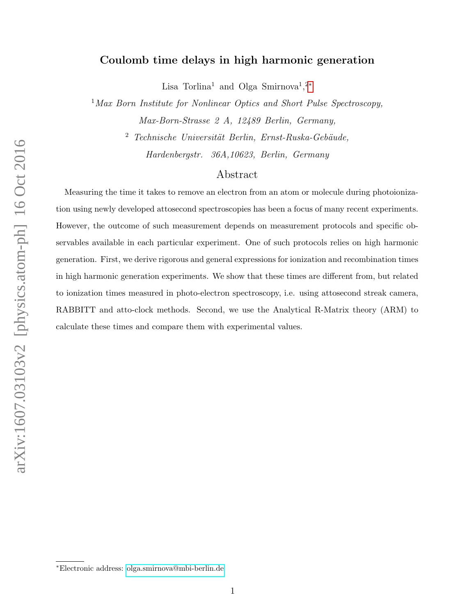# Coulomb time delays in high harmonic generation

Lisa Torlina<sup>1</sup> and Olga Smirnova<sup>1</sup>,<sup>2\*</sup>

 $1$ Max Born Institute for Nonlinear Optics and Short Pulse Spectroscopy, Max-Born-Strasse 2 A, 12489 Berlin, Germany,

 $2$  Technische Universität Berlin, Ernst-Ruska-Gebäude,

Hardenbergstr. 36A,10623, Berlin, Germany

# Abstract

Measuring the time it takes to remove an electron from an atom or molecule during photoionization using newly developed attosecond spectroscopies has been a focus of many recent experiments. However, the outcome of such measurement depends on measurement protocols and specific observables available in each particular experiment. One of such protocols relies on high harmonic generation. First, we derive rigorous and general expressions for ionization and recombination times in high harmonic generation experiments. We show that these times are different from, but related to ionization times measured in photo-electron spectroscopy, i.e. using attosecond streak camera, RABBITT and atto-clock methods. Second, we use the Analytical R-Matrix theory (ARM) to calculate these times and compare them with experimental values.

<span id="page-0-0"></span><sup>∗</sup>Electronic address: [olga.smirnova@mbi-berlin.de](mailto:olga.smirnova@mbi-berlin.de)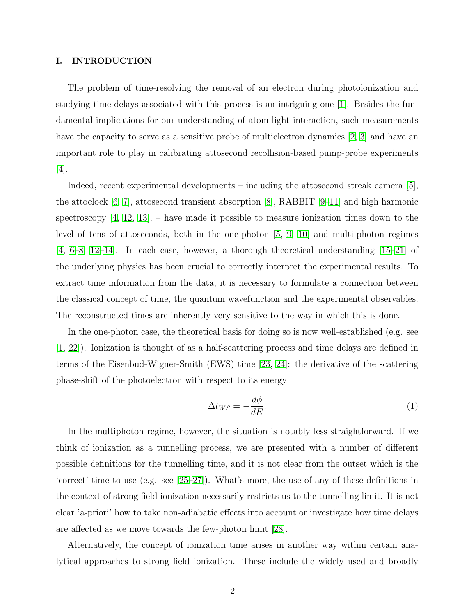#### I. INTRODUCTION

The problem of time-resolving the removal of an electron during photoionization and studying time-delays associated with this process is an intriguing one [\[1\]](#page-18-0). Besides the fundamental implications for our understanding of atom-light interaction, such measurements have the capacity to serve as a sensitive probe of multielectron dynamics [\[2,](#page-18-1) [3\]](#page-18-2) and have an important role to play in calibrating attosecond recollision-based pump-probe experiments [\[4\]](#page-18-3).

Indeed, recent experimental developments – including the attosecond streak camera [\[5\]](#page-18-4), the attoclock [\[6,](#page-19-0) [7\]](#page-19-1), attosecond transient absorption [\[8\]](#page-19-2), RABBIT [\[9–](#page-19-3)[11\]](#page-19-4) and high harmonic spectroscopy  $[4, 12, 13]$  $[4, 12, 13]$  $[4, 12, 13]$ , – have made it possible to measure ionization times down to the level of tens of attoseconds, both in the one-photon [\[5,](#page-18-4) [9,](#page-19-3) [10\]](#page-19-7) and multi-photon regimes  $[4, 6-8, 12-14]$  $[4, 6-8, 12-14]$  $[4, 6-8, 12-14]$  $[4, 6-8, 12-14]$  $[4, 6-8, 12-14]$ . In each case, however, a thorough theoretical understanding  $[15-21]$  of the underlying physics has been crucial to correctly interpret the experimental results. To extract time information from the data, it is necessary to formulate a connection between the classical concept of time, the quantum wavefunction and the experimental observables. The reconstructed times are inherently very sensitive to the way in which this is done.

In the one-photon case, the theoretical basis for doing so is now well-established (e.g. see [\[1,](#page-18-0) [22\]](#page-20-1)). Ionization is thought of as a half-scattering process and time delays are defined in terms of the Eisenbud-Wigner-Smith (EWS) time [\[23,](#page-20-2) [24\]](#page-20-3): the derivative of the scattering phase-shift of the photoelectron with respect to its energy

<span id="page-1-0"></span>
$$
\Delta t_{WS} = -\frac{d\phi}{dE}.\tag{1}
$$

In the multiphoton regime, however, the situation is notably less straightforward. If we think of ionization as a tunnelling process, we are presented with a number of different possible definitions for the tunnelling time, and it is not clear from the outset which is the 'correct' time to use (e.g. see [\[25–](#page-20-4)[27\]](#page-20-5)). What's more, the use of any of these definitions in the context of strong field ionization necessarily restricts us to the tunnelling limit. It is not clear 'a-priori' how to take non-adiabatic effects into account or investigate how time delays are affected as we move towards the few-photon limit [\[28\]](#page-21-0).

Alternatively, the concept of ionization time arises in another way within certain analytical approaches to strong field ionization. These include the widely used and broadly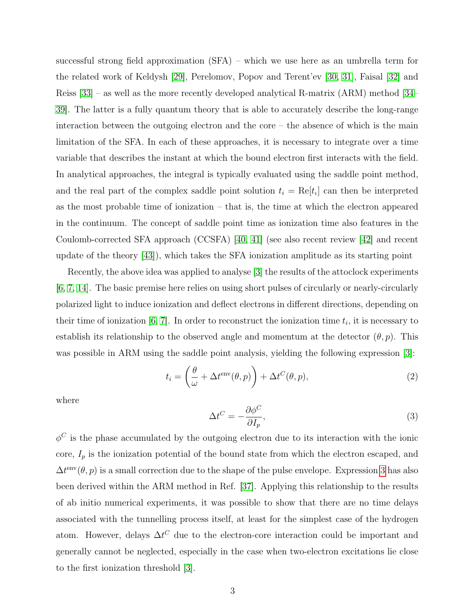successful strong field approximation (SFA) – which we use here as an umbrella term for the related work of Keldysh [\[29\]](#page-21-1), Perelomov, Popov and Terent'ev [\[30,](#page-21-2) [31\]](#page-21-3), Faisal [\[32\]](#page-21-4) and Reiss [\[33\]](#page-21-5) – as well as the more recently developed analytical R-matrix (ARM) method [\[34–](#page-21-6) [39\]](#page-21-7). The latter is a fully quantum theory that is able to accurately describe the long-range interaction between the outgoing electron and the core – the absence of which is the main limitation of the SFA. In each of these approaches, it is necessary to integrate over a time variable that describes the instant at which the bound electron first interacts with the field. In analytical approaches, the integral is typically evaluated using the saddle point method, and the real part of the complex saddle point solution  $t_i = \text{Re}[t_i]$  can then be interpreted as the most probable time of ionization – that is, the time at which the electron appeared in the continuum. The concept of saddle point time as ionization time also features in the Coulomb-corrected SFA approach (CCSFA) [\[40,](#page-21-8) [41\]](#page-21-9) (see also recent review [\[42\]](#page-22-0) and recent update of the theory [\[43\]](#page-22-1)), which takes the SFA ionization amplitude as its starting point

Recently, the above idea was applied to analyse [\[3\]](#page-18-2) the results of the attoclock experiments [\[6,](#page-19-0) [7,](#page-19-1) [14\]](#page-19-8). The basic premise here relies on using short pulses of circularly or nearly-circularly polarized light to induce ionization and deflect electrons in different directions, depending on their time of ionization [\[6,](#page-19-0) [7\]](#page-19-1). In order to reconstruct the ionization time  $t_i$ , it is necessary to establish its relationship to the observed angle and momentum at the detector  $(\theta, p)$ . This was possible in ARM using the saddle point analysis, yielding the following expression [\[3\]](#page-18-2):

$$
t_i = \left(\frac{\theta}{\omega} + \Delta t^{\text{env}}(\theta, p)\right) + \Delta t^C(\theta, p),\tag{2}
$$

where

<span id="page-2-0"></span>
$$
\Delta t^C = -\frac{\partial \phi^C}{\partial I_p},\tag{3}
$$

 $\phi^C$  is the phase accumulated by the outgoing electron due to its interaction with the ionic core,  $I_p$  is the ionization potential of the bound state from which the electron escaped, and  $\Delta t^{\text{env}}(\theta, p)$  is a small correction due to the shape of the pulse envelope. Expression [3](#page-2-0) has also been derived within the ARM method in Ref. [\[37\]](#page-21-10). Applying this relationship to the results of ab initio numerical experiments, it was possible to show that there are no time delays associated with the tunnelling process itself, at least for the simplest case of the hydrogen atom. However, delays  $\Delta t^C$  due to the electron-core interaction could be important and generally cannot be neglected, especially in the case when two-electron excitations lie close to the first ionization threshold [\[3\]](#page-18-2).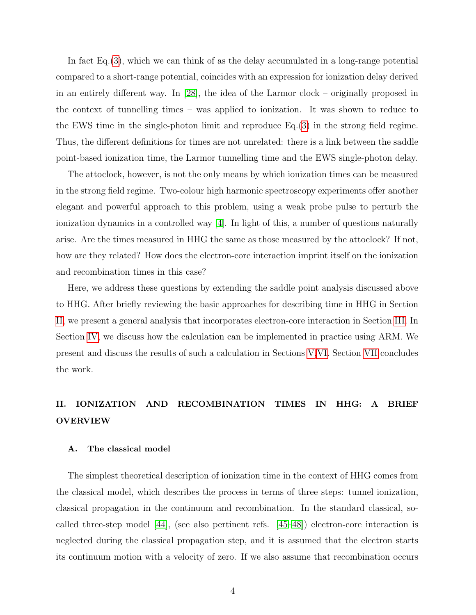In fact Eq.[\(3\)](#page-2-0), which we can think of as the delay accumulated in a long-range potential compared to a short-range potential, coincides with an expression for ionization delay derived in an entirely different way. In [\[28\]](#page-21-0), the idea of the Larmor clock – originally proposed in the context of tunnelling times – was applied to ionization. It was shown to reduce to the EWS time in the single-photon limit and reproduce Eq.[\(3\)](#page-2-0) in the strong field regime. Thus, the different definitions for times are not unrelated: there is a link between the saddle point-based ionization time, the Larmor tunnelling time and the EWS single-photon delay.

The attoclock, however, is not the only means by which ionization times can be measured in the strong field regime. Two-colour high harmonic spectroscopy experiments offer another elegant and powerful approach to this problem, using a weak probe pulse to perturb the ionization dynamics in a controlled way [\[4\]](#page-18-3). In light of this, a number of questions naturally arise. Are the times measured in HHG the same as those measured by the attoclock? If not, how are they related? How does the electron-core interaction imprint itself on the ionization and recombination times in this case?

Here, we address these questions by extending the saddle point analysis discussed above to HHG. After briefly reviewing the basic approaches for describing time in HHG in Section [II,](#page-3-0) we present a general analysis that incorporates electron-core interaction in Section [III.](#page-6-0) In Section [IV,](#page-7-0) we discuss how the calculation can be implemented in practice using ARM. We present and discuss the results of such a calculation in Sections [V,](#page-10-0)[VI.](#page-12-0) Section [VII](#page-14-0) concludes the work.

# <span id="page-3-0"></span>II. IONIZATION AND RECOMBINATION TIMES IN HHG: A BRIEF OVERVIEW

#### A. The classical model

The simplest theoretical description of ionization time in the context of HHG comes from the classical model, which describes the process in terms of three steps: tunnel ionization, classical propagation in the continuum and recombination. In the standard classical, socalled three-step model [\[44\]](#page-22-2), (see also pertinent refs. [\[45–](#page-22-3)[48\]](#page-22-4)) electron-core interaction is neglected during the classical propagation step, and it is assumed that the electron starts its continuum motion with a velocity of zero. If we also assume that recombination occurs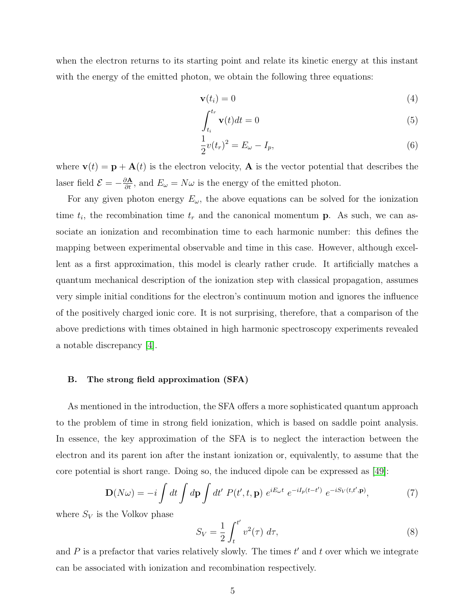when the electron returns to its starting point and relate its kinetic energy at this instant with the energy of the emitted photon, we obtain the following three equations:

<span id="page-4-2"></span><span id="page-4-0"></span>
$$
\mathbf{v}(t_i) = 0 \tag{4}
$$

$$
\int_{t_i}^{t_r} \mathbf{v}(t)dt = 0
$$
\n(5)

<span id="page-4-1"></span>
$$
\frac{1}{2}v(t_r)^2 = E_{\omega} - I_p,
$$
\n(6)

where  $\mathbf{v}(t) = \mathbf{p} + \mathbf{A}(t)$  is the electron velocity, **A** is the vector potential that describes the laser field  $\mathcal{E} = -\frac{\partial \mathbf{A}}{\partial t}$ , and  $E_{\omega} = N\omega$  is the energy of the emitted photon.

For any given photon energy  $E_{\omega}$ , the above equations can be solved for the ionization time  $t_i$ , the recombination time  $t_r$  and the canonical momentum **p**. As such, we can associate an ionization and recombination time to each harmonic number: this defines the mapping between experimental observable and time in this case. However, although excellent as a first approximation, this model is clearly rather crude. It artificially matches a quantum mechanical description of the ionization step with classical propagation, assumes very simple initial conditions for the electron's continuum motion and ignores the influence of the positively charged ionic core. It is not surprising, therefore, that a comparison of the above predictions with times obtained in high harmonic spectroscopy experiments revealed a notable discrepancy [\[4\]](#page-18-3).

#### B. The strong field approximation (SFA)

As mentioned in the introduction, the SFA offers a more sophisticated quantum approach to the problem of time in strong field ionization, which is based on saddle point analysis. In essence, the key approximation of the SFA is to neglect the interaction between the electron and its parent ion after the instant ionization or, equivalently, to assume that the core potential is short range. Doing so, the induced dipole can be expressed as [\[49\]](#page-22-5):

<span id="page-4-3"></span>
$$
\mathbf{D}(N\omega) = -i \int dt \int d\mathbf{p} \int dt' P(t', t, \mathbf{p}) e^{iE_{\omega}t} e^{-iI_p(t-t')} e^{-iS_V(t, t', \mathbf{p})}, \tag{7}
$$

where  $S_V$  is the Volkov phase

$$
S_V = \frac{1}{2} \int_t^{t'} v^2(\tau) \, d\tau,\tag{8}
$$

and  $P$  is a prefactor that varies relatively slowly. The times  $t'$  and  $t$  over which we integrate can be associated with ionization and recombination respectively.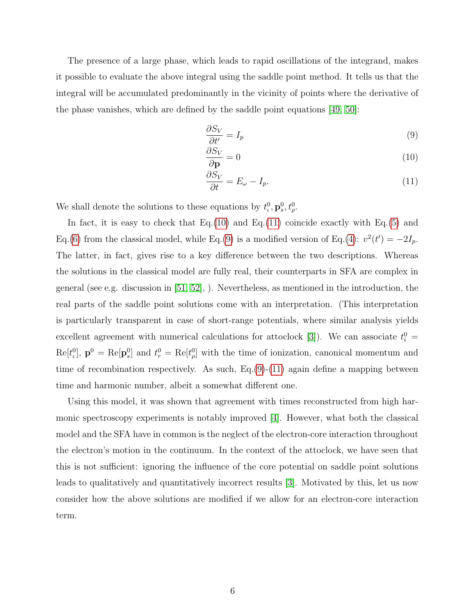The presence of a large phase, which leads to rapid oscillations of the integrand, makes it possible to evaluate the above integral using the saddle point method. It tells us that the integral will be accumulated predominantly in the vicinity of points where the derivative of the phase vanishes, which are defined by the saddle point equations [\[49,](#page-22-5) [50\]](#page-22-6):

<span id="page-5-2"></span><span id="page-5-0"></span>
$$
\frac{\partial S_V}{\partial t'} = I_p \tag{9}
$$

$$
\frac{\partial S_V}{\partial \mathbf{p}} = 0 \tag{10}
$$

<span id="page-5-1"></span>
$$
\frac{\partial S_V}{\partial t} = E_\omega - I_p. \tag{11}
$$

We shall denote the solutions to these equations by  $t_i^0$ ,  $\mathbf{p}_s^0$ ,  $t_\rho^0$ .

In fact, it is easy to check that Eq.[\(10\)](#page-5-0) and Eq.[\(11\)](#page-5-1) coincide exactly with Eq.[\(5\)](#page-4-0) and Eq.[\(6\)](#page-4-1) from the classical model, while Eq.[\(9\)](#page-5-2) is a modified version of Eq.[\(4\)](#page-4-2):  $v^2(t') = -2I_p$ . The latter, in fact, gives rise to a key difference between the two descriptions. Whereas the solutions in the classical model are fully real, their counterparts in SFA are complex in general (see e.g. discussion in [\[51,](#page-22-7) [52\]](#page-22-8), ). Nevertheless, as mentioned in the introduction, the real parts of the saddle point solutions come with an interpretation. (This interpretation is particularly transparent in case of short-range potentials, where similar analysis yields excellent agreement with numerical calculations for attoclock [\[3\]](#page-18-2)). We can associate  $t_i^0$  =  $\text{Re}[t_{\iota}^0], \mathbf{p}^0 = \text{Re}[\mathbf{p}_{\iota}^0]$  and  $t_{r}^0 = \text{Re}[t_{\rho}^0]$  with the time of ionization, canonical momentum and time of recombination respectively. As such, Eq.[\(9\)](#page-5-2)-[\(11\)](#page-5-1) again define a mapping between time and harmonic number, albeit a somewhat different one.

Using this model, it was shown that agreement with times reconstructed from high harmonic spectroscopy experiments is notably improved [\[4\]](#page-18-3). However, what both the classical model and the SFA have in common is the neglect of the electron-core interaction throughout the electron's motion in the continuum. In the context of the attoclock, we have seen that this is not sufficient: ignoring the influence of the core potential on saddle point solutions leads to qualitatively and quantitatively incorrect results [\[3\]](#page-18-2). Motivated by this, let us now consider how the above solutions are modified if we allow for an electron-core interaction term.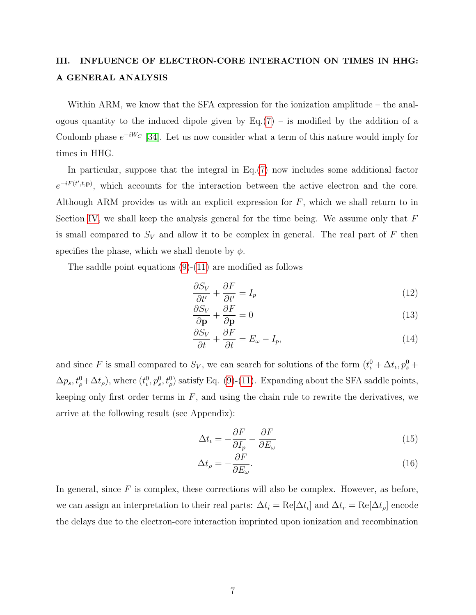# <span id="page-6-0"></span>III. INFLUENCE OF ELECTRON-CORE INTERACTION ON TIMES IN HHG: A GENERAL ANALYSIS

Within ARM, we know that the SFA expression for the ionization amplitude – the analogous quantity to the induced dipole given by  $Eq.(7)$  $Eq.(7)$  – is modified by the addition of a Coulomb phase  $e^{-iW_C}$  [\[34\]](#page-21-6). Let us now consider what a term of this nature would imply for times in HHG.

In particular, suppose that the integral in Eq.[\(7\)](#page-4-3) now includes some additional factor  $e^{-iF(t',t,\mathbf{p})}$ , which accounts for the interaction between the active electron and the core. Although ARM provides us with an explicit expression for  $F$ , which we shall return to in Section [IV,](#page-7-0) we shall keep the analysis general for the time being. We assume only that  $F$ is small compared to  $S_V$  and allow it to be complex in general. The real part of F then specifies the phase, which we shall denote by  $\phi$ .

The saddle point equations [\(9\)](#page-5-2)-[\(11\)](#page-5-1) are modified as follows

<span id="page-6-3"></span>
$$
\frac{\partial S_V}{\partial t'} + \frac{\partial F}{\partial t'} = I_p \tag{12}
$$

$$
\frac{\partial S_V}{\partial \mathbf{p}} + \frac{\partial F}{\partial \mathbf{p}} = 0 \tag{13}
$$

<span id="page-6-4"></span>
$$
\frac{\partial S_V}{\partial t} + \frac{\partial F}{\partial t} = E_\omega - I_p,\tag{14}
$$

and since F is small compared to  $S_V$ , we can search for solutions of the form  $(t_t^0 + \Delta t_t, p_s^0 +$  $\Delta p_s, t_\rho^0 + \Delta t_\rho$ , where  $(t_\iota^0, p_s^0, t_\rho^0)$  satisfy Eq. [\(9\)](#page-5-2)-[\(11\)](#page-5-1). Expanding about the SFA saddle points, keeping only first order terms in  $F$ , and using the chain rule to rewrite the derivatives, we arrive at the following result (see Appendix):

<span id="page-6-2"></span><span id="page-6-1"></span>
$$
\Delta t_{\iota} = -\frac{\partial F}{\partial I_p} - \frac{\partial F}{\partial E_{\omega}}\tag{15}
$$

$$
\Delta t_{\rho} = -\frac{\partial F}{\partial E_{\omega}}.\tag{16}
$$

In general, since  $F$  is complex, these corrections will also be complex. However, as before, we can assign an interpretation to their real parts:  $\Delta t_i = \text{Re}[\Delta t_i]$  and  $\Delta t_r = \text{Re}[\Delta t_i]$  encode the delays due to the electron-core interaction imprinted upon ionization and recombination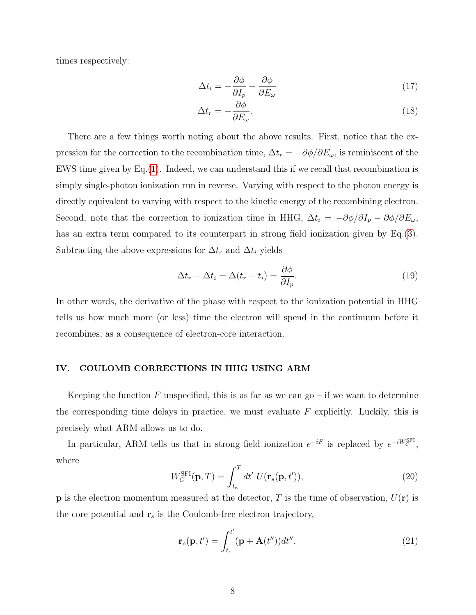times respectively:

$$
\Delta t_i = -\frac{\partial \phi}{\partial I_p} - \frac{\partial \phi}{\partial E_\omega} \tag{17}
$$

$$
\Delta t_r = -\frac{\partial \phi}{\partial E_\omega}.\tag{18}
$$

There are a few things worth noting about the above results. First, notice that the expression for the correction to the recombination time,  $\Delta t_r = -\partial \phi / \partial E_\omega$ , is reminiscent of the EWS time given by Eq.[\(1\)](#page-1-0). Indeed, we can understand this if we recall that recombination is simply single-photon ionization run in reverse. Varying with respect to the photon energy is directly equivalent to varying with respect to the kinetic energy of the recombining electron. Second, note that the correction to ionization time in HHG,  $\Delta t_i = -\partial \phi / \partial I_p - \partial \phi / \partial E_\omega$ , has an extra term compared to its counterpart in strong field ionization given by Eq.[\(3\)](#page-2-0). Subtracting the above expressions for  $\Delta t_r$  and  $\Delta t_i$  yields

$$
\Delta t_r - \Delta t_i = \Delta (t_r - t_i) = \frac{\partial \phi}{\partial I_p}.
$$
\n(19)

In other words, the derivative of the phase with respect to the ionization potential in HHG tells us how much more (or less) time the electron will spend in the continuum before it recombines, as a consequence of electron-core interaction.

## <span id="page-7-0"></span>IV. COULOMB CORRECTIONS IN HHG USING ARM

Keeping the function F unspecified, this is as far as we can  $g_0$  – if we want to determine the corresponding time delays in practice, we must evaluate  $F$  explicitly. Luckily, this is precisely what ARM allows us to do.

In particular, ARM tells us that in strong field ionization  $e^{-iF}$  is replaced by  $e^{-iW_C^{\text{SFI}}},$ where

<span id="page-7-1"></span>
$$
W_C^{\text{SFI}}(\mathbf{p}, T) = \int_{t_{\kappa}}^T dt' \ U(\mathbf{r}_s(\mathbf{p}, t')), \qquad (20)
$$

**p** is the electron momentum measured at the detector, T is the time of observation,  $U(\mathbf{r})$  is the core potential and  $r_s$  is the Coulomb-free electron trajectory,

$$
\mathbf{r}_s(\mathbf{p},t') = \int_{t_\iota}^{t'} (\mathbf{p} + \mathbf{A}(t'')) dt''.
$$
 (21)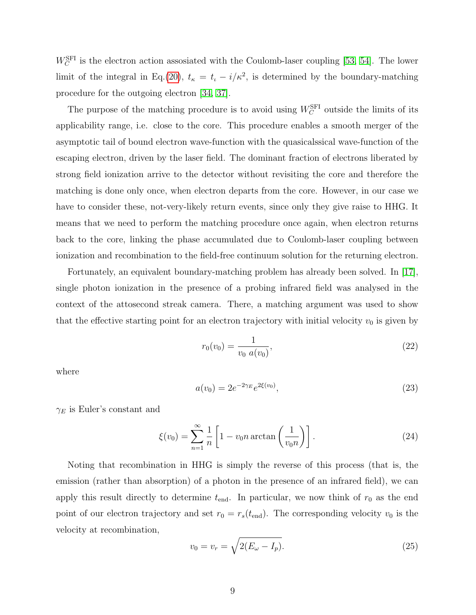$W_C^{\text{SFI}}$  is the electron action assosiated with the Coulomb-laser coupling [\[53,](#page-22-9) [54\]](#page-22-10). The lower limit of the integral in Eq.[\(20\)](#page-7-1),  $t_{\kappa} = t_{\iota} - i/\kappa^2$ , is determined by the boundary-matching procedure for the outgoing electron [\[34,](#page-21-6) [37\]](#page-21-10).

The purpose of the matching procedure is to avoid using  $W_C^{\text{SFI}}$  outside the limits of its applicability range, i.e. close to the core. This procedure enables a smooth merger of the asymptotic tail of bound electron wave-function with the quasicalssical wave-function of the escaping electron, driven by the laser field. The dominant fraction of electrons liberated by strong field ionization arrive to the detector without revisiting the core and therefore the matching is done only once, when electron departs from the core. However, in our case we have to consider these, not-very-likely return events, since only they give raise to HHG. It means that we need to perform the matching procedure once again, when electron returns back to the core, linking the phase accumulated due to Coulomb-laser coupling between ionization and recombination to the field-free continuum solution for the returning electron.

Fortunately, an equivalent boundary-matching problem has already been solved. In [\[17\]](#page-20-6), single photon ionization in the presence of a probing infrared field was analysed in the context of the attosecond streak camera. There, a matching argument was used to show that the effective starting point for an electron trajectory with initial velocity  $v_0$  is given by

<span id="page-8-0"></span>
$$
r_0(v_0) = \frac{1}{v_0 \ a(v_0)},\tag{22}
$$

where

$$
a(v_0) = 2e^{-2\gamma_E}e^{2\xi(v_0)},\tag{23}
$$

 $\gamma_E$  is Euler's constant and

$$
\xi(v_0) = \sum_{n=1}^{\infty} \frac{1}{n} \left[ 1 - v_0 n \arctan\left(\frac{1}{v_0 n}\right) \right].
$$
 (24)

Noting that recombination in HHG is simply the reverse of this process (that is, the emission (rather than absorption) of a photon in the presence of an infrared field), we can apply this result directly to determine  $t_{\text{end}}$ . In particular, we now think of  $r_0$  as the end point of our electron trajectory and set  $r_0 = r_s(t_{\text{end}})$ . The corresponding velocity  $v_0$  is the velocity at recombination,

<span id="page-8-1"></span>
$$
v_0 = v_r = \sqrt{2(E_\omega - I_p)}.
$$
\n(25)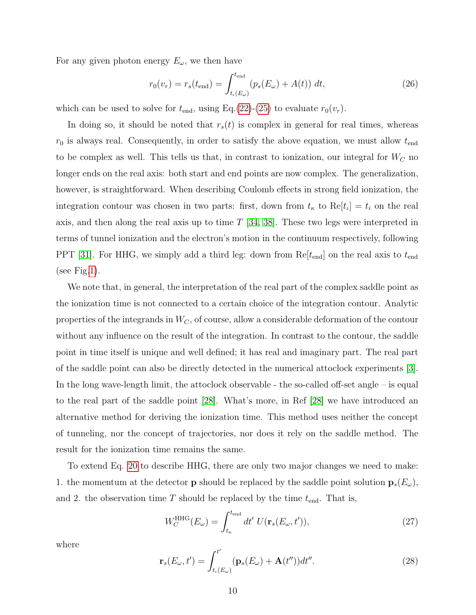For any given photon energy  $E_{\omega}$ , we then have

$$
r_0(v_r) = r_s(t_{\text{end}}) = \int_{t_\iota(E_\omega)}^{t_{\text{end}}} (p_s(E_\omega) + A(t)) \ dt,
$$
 (26)

which can be used to solve for  $t_{\text{end}}$ , using Eq.[\(22\)](#page-8-0)-[\(25\)](#page-8-1) to evaluate  $r_0(v_r)$ .

In doing so, it should be noted that  $r_s(t)$  is complex in general for real times, whereas  $r_0$  is always real. Consequently, in order to satisfy the above equation, we must allow  $t_{\text{end}}$ to be complex as well. This tells us that, in contrast to ionization, our integral for  $W_C$  no longer ends on the real axis: both start and end points are now complex. The generalization, however, is straightforward. When describing Coulomb effects in strong field ionization, the integration contour was chosen in two parts: first, down from  $t_{\kappa}$  to  $\text{Re}[t_{\iota}] = t_i$  on the real axis, and then along the real axis up to time T [\[34,](#page-21-6) [38\]](#page-21-11). These two legs were interpreted in terms of tunnel ionization and the electron's motion in the continuum respectively, following PPT [\[31\]](#page-21-3). For HHG, we simply add a third leg: down from  $Re[t_{end}]$  on the real axis to  $t_{end}$ (see Fig[.1\)](#page-10-1).

We note that, in general, the interpretation of the real part of the complex saddle point as the ionization time is not connected to a certain choice of the integration contour. Analytic properties of the integrands in  $W_C$ , of course, allow a considerable deformation of the contour without any influence on the result of the integration. In contrast to the contour, the saddle point in time itself is unique and well defined; it has real and imaginary part. The real part of the saddle point can also be directly detected in the numerical attoclock experiments [\[3\]](#page-18-2). In the long wave-length limit, the attoclock observable - the so-called off-set angle – is equal to the real part of the saddle point [\[28\]](#page-21-0). What's more, in Ref [\[28\]](#page-21-0) we have introduced an alternative method for deriving the ionization time. This method uses neither the concept of tunneling, nor the concept of trajectories, nor does it rely on the saddle method. The result for the ionization time remains the same.

To extend Eq. [20](#page-7-1) to describe HHG, there are only two major changes we need to make: 1. the momentum at the detector **p** should be replaced by the saddle point solution  $\mathbf{p}_s(E_\omega)$ , and 2. the observation time  $T$  should be replaced by the time  $t_{\text{end}}$ . That is,

<span id="page-9-0"></span>
$$
W_C^{\text{HHG}}(E_{\omega}) = \int_{t_{\kappa}}^{t_{\text{end}}} dt' \ U(\mathbf{r}_s(E_{\omega}, t')), \tag{27}
$$

where

$$
\mathbf{r}_s(E_{\omega},t') = \int_{t_\iota(E_{\omega})}^{t'} (\mathbf{p}_s(E_{\omega}) + \mathbf{A}(t''))dt''.
$$
 (28)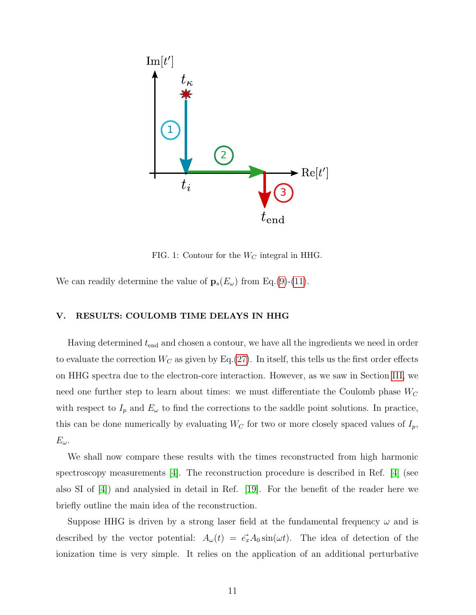

<span id="page-10-1"></span>FIG. 1: Contour for the  $W_C$  integral in HHG.

We can readily determine the value of  $\mathbf{p}_s(E_\omega)$  from Eq.[\(9\)](#page-5-2)-[\(11\)](#page-5-1).

## <span id="page-10-0"></span>V. RESULTS: COULOMB TIME DELAYS IN HHG

Having determined  $t_{\text{end}}$  and chosen a contour, we have all the ingredients we need in order to evaluate the correction  $W_C$  as given by Eq.[\(27\)](#page-9-0). In itself, this tells us the first order effects on HHG spectra due to the electron-core interaction. However, as we saw in Section [III,](#page-6-0) we need one further step to learn about times: we must differentiate the Coulomb phase  $W_C$ with respect to  $I_p$  and  $E_\omega$  to find the corrections to the saddle point solutions. In practice, this can be done numerically by evaluating  $W_C$  for two or more closely spaced values of  $I_p$ ,  $E_{\omega}$ .

We shall now compare these results with the times reconstructed from high harmonic spectroscopy measurements [\[4\]](#page-18-3). The reconstruction procedure is described in Ref. [\[4\]](#page-18-3) (see also SI of [\[4\]](#page-18-3)) and analysied in detail in Ref. [\[19\]](#page-20-7). For the benefit of the reader here we briefly outline the main idea of the reconstruction.

Suppose HHG is driven by a strong laser field at the fundamental frequency  $\omega$  and is described by the vector potential:  $A_{\omega}(t) = \vec{e_x} A_0 \sin(\omega t)$ . The idea of detection of the ionization time is very simple. It relies on the application of an additional perturbative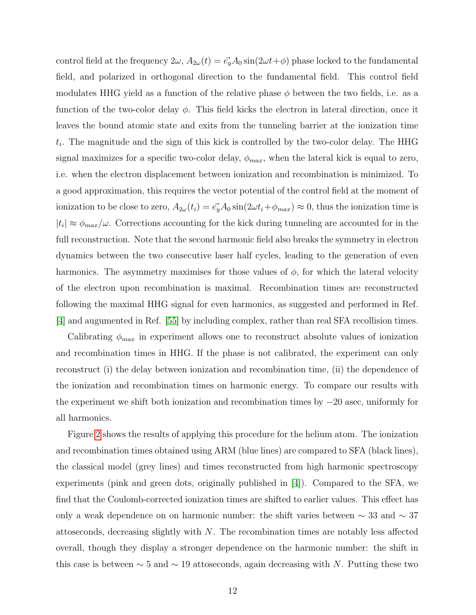control field at the frequency  $2\omega$ ,  $A_{2\omega}(t) = \vec{e_y}A_0 \sin(2\omega t + \phi)$  phase locked to the fundamental field, and polarized in orthogonal direction to the fundamental field. This control field modulates HHG yield as a function of the relative phase  $\phi$  between the two fields, i.e. as a function of the two-color delay  $\phi$ . This field kicks the electron in lateral direction, once it leaves the bound atomic state and exits from the tunneling barrier at the ionization time  $t_i$ . The magnitude and the sign of this kick is controlled by the two-color delay. The HHG signal maximizes for a specific two-color delay,  $\phi_{max}$ , when the lateral kick is equal to zero, i.e. when the electron displacement between ionization and recombination is minimized. To a good approximation, this requires the vector potential of the control field at the moment of ionization to be close to zero,  $A_{2\omega}(t_i) = \vec{e_y} A_0 \sin(2\omega t_i + \phi_{max}) \approx 0$ , thus the ionization time is  $|t_i| \approx \phi_{max}/\omega$ . Corrections accounting for the kick during tunneling are accounted for in the full reconstruction. Note that the second harmonic field also breaks the symmetry in electron dynamics between the two consecutive laser half cycles, leading to the generation of even harmonics. The asymmetry maximises for those values of  $\phi$ , for which the lateral velocity of the electron upon recombination is maximal. Recombination times are reconstructed following the maximal HHG signal for even harmonics, as suggested and performed in Ref. [\[4\]](#page-18-3) and augumented in Ref. [\[55\]](#page-23-0) by including complex, rather than real SFA recollision times.

Calibrating  $\phi_{max}$  in experiment allows one to reconstruct absolute values of ionization and recombination times in HHG. If the phase is not calibrated, the experiment can only reconstruct (i) the delay between ionization and recombination time, (ii) the dependence of the ionization and recombination times on harmonic energy. To compare our results with the experiment we shift both ionization and recombination times by −20 asec, uniformly for all harmonics.

Figure [2](#page-12-1) shows the results of applying this procedure for the helium atom. The ionization and recombination times obtained using ARM (blue lines) are compared to SFA (black lines), the classical model (grey lines) and times reconstructed from high harmonic spectroscopy experiments (pink and green dots, originally published in [\[4\]](#page-18-3)). Compared to the SFA, we find that the Coulomb-corrected ionization times are shifted to earlier values. This effect has only a weak dependence on on harmonic number: the shift varies between ∼ 33 and ∼ 37 attoseconds, decreasing slightly with N. The recombination times are notably less affected overall, though they display a stronger dependence on the harmonic number: the shift in this case is between  $\sim 5$  and  $\sim 19$  attoseconds, again decreasing with N. Putting these two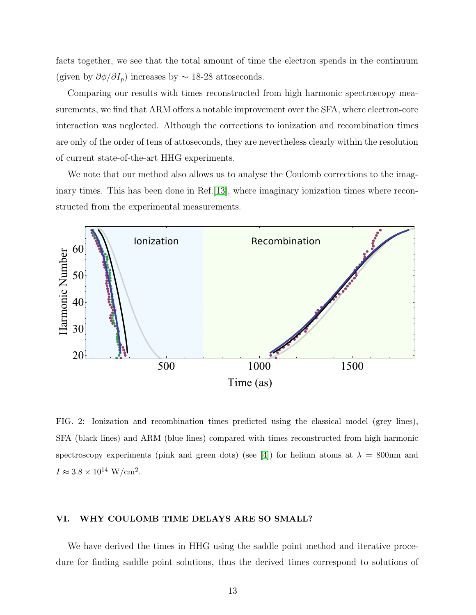facts together, we see that the total amount of time the electron spends in the continuum (given by  $\partial \phi / \partial I_p$ ) increases by ~ 18-28 attoseconds.

Comparing our results with times reconstructed from high harmonic spectroscopy measurements, we find that ARM offers a notable improvement over the SFA, where electron-core interaction was neglected. Although the corrections to ionization and recombination times are only of the order of tens of attoseconds, they are nevertheless clearly within the resolution of current state-of-the-art HHG experiments.

We note that our method also allows us to analyse the Coulomb corrections to the imaginary times. This has been done in Ref.[\[13\]](#page-19-6), where imaginary ionization times where reconstructed from the experimental measurements.



<span id="page-12-1"></span>FIG. 2: Ionization and recombination times predicted using the classical model (grey lines), SFA (black lines) and ARM (blue lines) compared with times reconstructed from high harmonic spectroscopy experiments (pink and green dots) (see [\[4\]](#page-18-3)) for helium atoms at  $\lambda = 800$ nm and  $I \approx 3.8 \times 10^{14} \text{ W/cm}^2$ .

## <span id="page-12-0"></span>VI. WHY COULOMB TIME DELAYS ARE SO SMALL?

We have derived the times in HHG using the saddle point method and iterative procedure for finding saddle point solutions, thus the derived times correspond to solutions of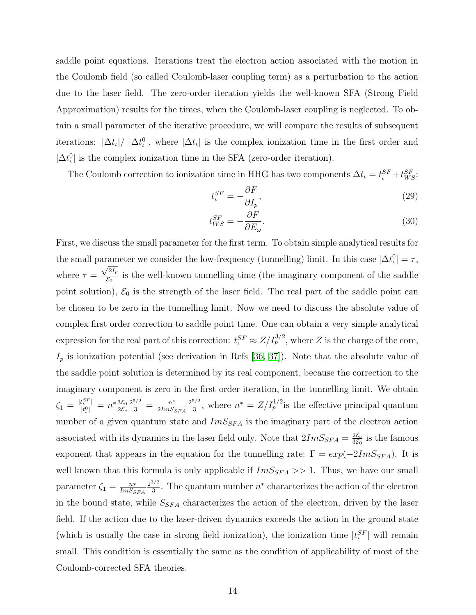saddle point equations. Iterations treat the electron action associated with the motion in the Coulomb field (so called Coulomb-laser coupling term) as a perturbation to the action due to the laser field. The zero-order iteration yields the well-known SFA (Strong Field Approximation) results for the times, when the Coulomb-laser coupling is neglected. To obtain a small parameter of the iterative procedure, we will compare the results of subsequent iterations:  $|\Delta t_i|/|\Delta t_i^0|$ , where  $|\Delta t_i|$  is the complex ionization time in the first order and  $|\Delta t_i^0|$  is the complex ionization time in the SFA (zero-order iteration).

The Coulomb correction to ionization time in HHG has two components  $\Delta t_i = t_i^{SF} + t_{WS}^{SF}$ .

$$
t_i^{SF} = -\frac{\partial F}{\partial I_p},\tag{29}
$$

$$
t_{WS}^{SF} = -\frac{\partial F}{\partial E_{\omega}}.\tag{30}
$$

First, we discuss the small parameter for the first term. To obtain simple analytical results for the small parameter we consider the low-frequency (tunnelling) limit. In this case  $|\Delta t_i^0| = \tau$ , where  $\tau = \frac{\sqrt{2I_p}}{S_p}$  $\frac{Z_{tp}}{\mathcal{E}_0}$  is the well-known tunnelling time (the imaginary component of the saddle point solution),  $\mathcal{E}_0$  is the strength of the laser field. The real part of the saddle point can be chosen to be zero in the tunnelling limit. Now we need to discuss the absolute value of complex first order correction to saddle point time. One can obtain a very simple analytical expression for the real part of this correction:  $t_i^{SF} \approx Z/I_p^{3/2}$ , where Z is the charge of the core,  $I_p$  is ionization potential (see derivation in Refs [\[36,](#page-21-12) [37\]](#page-21-10)). Note that the absolute value of the saddle point solution is determined by its real component, because the correction to the imaginary component is zero in the first order iteration, in the tunnelling limit. We obtain  $\zeta_1 = \frac{|t^{SF}_{\iota}|}{|t^{0}|}$  $\frac{t_{\iota}^{SF}}{|t_{\iota}^{0}|} = n^* \frac{3\mathcal{E}_0}{2\mathcal{E}_c}$  $2\mathcal{E}_c$  $\frac{2^{5/2}}{3} = \frac{n^*}{2Im S_j}$  $2Im S_{SFA}$  $2^{5/2}$  $\frac{3^{5/2}}{3}$ , where  $n^* = Z/I_p^{1/2}$  is the effective principal quantum number of a given quantum state and  $ImS_{SFA}$  is the imaginary part of the electron action associated with its dynamics in the laser field only. Note that  $2ImS_{SFA} = \frac{2\mathcal{E}_c}{3\mathcal{E}_0}$  $\frac{2\mathcal{E}_c}{3\mathcal{E}_0}$  is the famous exponent that appears in the equation for the tunnelling rate:  $\Gamma = exp(-2Im S_{SFA})$ . It is well known that this formula is only applicable if  $ImS_{SFA} >> 1$ . Thus, we have our small parameter  $\zeta_1 = \frac{n*}{Im S_S}$  $Im S_{SFA}$  $2^{3/2}$  $\frac{3}{3}$ . The quantum number  $n^*$  characterizes the action of the electron in the bound state, while  $S_{SFA}$  characterizes the action of the electron, driven by the laser field. If the action due to the laser-driven dynamics exceeds the action in the ground state (which is usually the case in strong field ionization), the ionization time  $|t_i^{SF}|$  will remain small. This condition is essentially the same as the condition of applicability of most of the Coulomb-corrected SFA theories.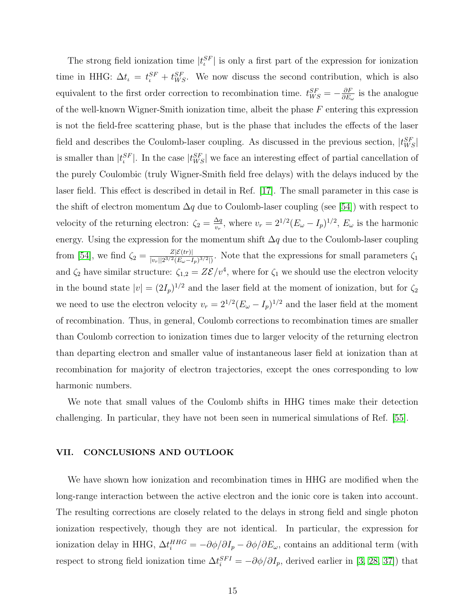The strong field ionization time  $|t_i^{SF}|$  is only a first part of the expression for ionization time in HHG:  $\Delta t_i = t_i^{SF} + t_{WS}^{SF}$ . We now discuss the second contribution, which is also equivalent to the first order correction to recombination time.  $t_{WS}^{SF} = -\frac{\partial F}{\partial E}$  $\frac{\partial F}{\partial E_{\omega}}$  is the analogue of the well-known Wigner-Smith ionization time, albeit the phase  $F$  entering this expression is not the field-free scattering phase, but is the phase that includes the effects of the laser field and describes the Coulomb-laser coupling. As discussed in the previous section,  $|t_{WS}^{SF}|$ is smaller than  $|t_i^{SF}|$ . In the case  $|t_{WS}^{SF}|$  we face an interesting effect of partial cancellation of the purely Coulombic (truly Wigner-Smith field free delays) with the delays induced by the laser field. This effect is described in detail in Ref. [\[17\]](#page-20-6). The small parameter in this case is the shift of electron momentum  $\Delta q$  due to Coulomb-laser coupling (see [\[54\]](#page-22-10)) with respect to velocity of the returning electron:  $\zeta_2 = \frac{\Delta q}{v_{\text{max}}}$  $\frac{\Delta q}{v_r}$ , where  $v_r = 2^{1/2} (E_\omega - I_p)^{1/2}$ ,  $E_\omega$  is the harmonic energy. Using the expression for the momentum shift  $\Delta q$  due to the Coulomb-laser coupling from [\[54\]](#page-22-10), we find  $\zeta_2 = \frac{Z[\mathcal{E}(tr)]}{|v_2||2^{3/2}(E_1-F_2)}$  $\frac{Z[\mathcal{E}(tr)]}{|v_r||2^{3/2}(E_\omega - I_p)^{3/2}|}$ . Note that the expressions for small parameters  $\zeta_1$ and  $\zeta_2$  have similar structure:  $\zeta_{1,2} = Z\mathcal{E}/v^4$ , where for  $\zeta_1$  we should use the electron velocity in the bound state  $|v| = (2I_p)^{1/2}$  and the laser field at the moment of ionization, but for  $\zeta_2$ we need to use the electron velocity  $v_r = 2^{1/2} (E_\omega - I_p)^{1/2}$  and the laser field at the moment of recombination. Thus, in general, Coulomb corrections to recombination times are smaller than Coulomb correction to ionization times due to larger velocity of the returning electron than departing electron and smaller value of instantaneous laser field at ionization than at recombination for majority of electron trajectories, except the ones corresponding to low harmonic numbers.

We note that small values of the Coulomb shifts in HHG times make their detection challenging. In particular, they have not been seen in numerical simulations of Ref. [\[55\]](#page-23-0).

## <span id="page-14-0"></span>VII. CONCLUSIONS AND OUTLOOK

We have shown how ionization and recombination times in HHG are modified when the long-range interaction between the active electron and the ionic core is taken into account. The resulting corrections are closely related to the delays in strong field and single photon ionization respectively, though they are not identical. In particular, the expression for ionization delay in HHG,  $\Delta t_i^{HHG} = -\partial \phi / \partial I_p - \partial \phi / \partial E_\omega$ , contains an additional term (with respect to strong field ionization time  $\Delta t_i^{SFI} = -\partial \phi / \partial I_p$ , derived earlier in [\[3,](#page-18-2) [28,](#page-21-0) [37\]](#page-21-10)) that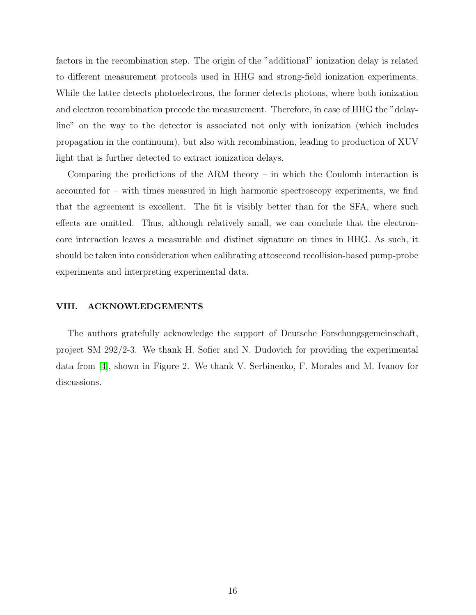factors in the recombination step. The origin of the "additional" ionization delay is related to different measurement protocols used in HHG and strong-field ionization experiments. While the latter detects photoelectrons, the former detects photons, where both ionization and electron recombination precede the measurement. Therefore, in case of HHG the "delayline" on the way to the detector is associated not only with ionization (which includes propagation in the continuum), but also with recombination, leading to production of XUV light that is further detected to extract ionization delays.

Comparing the predictions of the ARM theory – in which the Coulomb interaction is accounted for – with times measured in high harmonic spectroscopy experiments, we find that the agreement is excellent. The fit is visibly better than for the SFA, where such effects are omitted. Thus, although relatively small, we can conclude that the electroncore interaction leaves a measurable and distinct signature on times in HHG. As such, it should be taken into consideration when calibrating attosecond recollision-based pump-probe experiments and interpreting experimental data.

## VIII. ACKNOWLEDGEMENTS

The authors gratefully acknowledge the support of Deutsche Forschungsgemeinschaft, project SM 292/2-3. We thank H. Sofier and N. Dudovich for providing the experimental data from [\[4\]](#page-18-3), shown in Figure 2. We thank V. Serbinenko, F. Morales and M. Ivanov for discussions.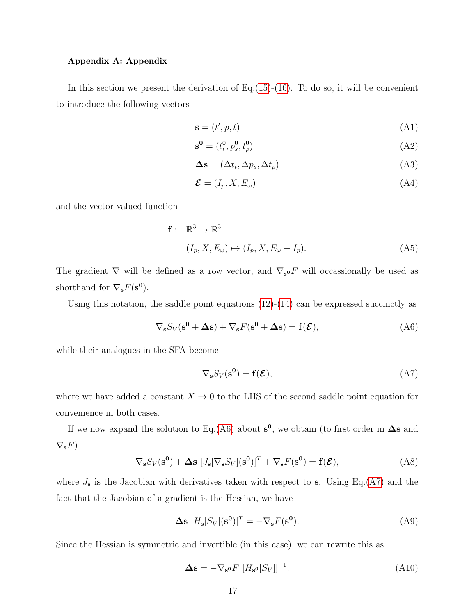#### Appendix A: Appendix

In this section we present the derivation of Eq.[\(15\)](#page-6-1)-[\(16\)](#page-6-2). To do so, it will be convenient to introduce the following vectors

$$
\mathbf{s} = (t', p, t) \tag{A1}
$$

$$
\mathbf{s}^{\mathbf{0}} = (t^0_\iota, p^0_s, t^0_\rho) \tag{A2}
$$

$$
\Delta \mathbf{s} = (\Delta t_{\iota}, \Delta p_{\sota}, \Delta t_{\rho}) \tag{A3}
$$

$$
\mathcal{E} = (I_p, X, E_\omega) \tag{A4}
$$

and the vector-valued function

$$
\mathbf{f}: \mathbb{R}^3 \to \mathbb{R}^3
$$
  

$$
(I_p, X, E_\omega) \mapsto (I_p, X, E_\omega - I_p).
$$
 (A5)

The gradient  $\nabla$  will be defined as a row vector, and  $\nabla_{s} \circ F$  will occassionally be used as shorthand for  $\nabla_{\mathbf{s}} F(\mathbf{s^0})$ .

Using this notation, the saddle point equations  $(12)-(14)$  $(12)-(14)$  can be expressed succinctly as

<span id="page-16-0"></span>
$$
\nabla_{\mathbf{s}} S_V(\mathbf{s}^0 + \Delta \mathbf{s}) + \nabla_{\mathbf{s}} F(\mathbf{s}^0 + \Delta \mathbf{s}) = \mathbf{f}(\mathcal{E}), \tag{A6}
$$

while their analogues in the SFA become

<span id="page-16-1"></span>
$$
\nabla_{\mathbf{s}} S_V(\mathbf{s}^0) = \mathbf{f}(\mathcal{E}),\tag{A7}
$$

where we have added a constant  $X \to 0$  to the LHS of the second saddle point equation for convenience in both cases.

If we now expand the solution to Eq.[\(A6\)](#page-16-0) about  $s^0$ , we obtain (to first order in  $\Delta s$  and  $\nabla_{\mathbf{s}}F$ 

$$
\nabla_{\mathbf{s}} S_V(\mathbf{s}^0) + \Delta \mathbf{s} \left[ J_{\mathbf{s}}[\nabla_{\mathbf{s}} S_V](\mathbf{s}^0)\right]^T + \nabla_{\mathbf{s}} F(\mathbf{s}^0) = \mathbf{f}(\mathcal{E}), \tag{A8}
$$

where  $J_s$  is the Jacobian with derivatives taken with respect to s. Using Eq.[\(A7\)](#page-16-1) and the fact that the Jacobian of a gradient is the Hessian, we have

$$
\Delta \mathbf{s} \ [H_{\mathbf{s}}[S_V](\mathbf{s^0})]^T = -\nabla_{\mathbf{s}} F(\mathbf{s^0}). \tag{A9}
$$

Since the Hessian is symmetric and invertible (in this case), we can rewrite this as

<span id="page-16-2"></span>
$$
\Delta \mathbf{s} = -\nabla_{\mathbf{s}} \mathbf{o} F \left[ H_{\mathbf{s}} \mathbf{o} [S_V] \right]^{-1} . \tag{A10}
$$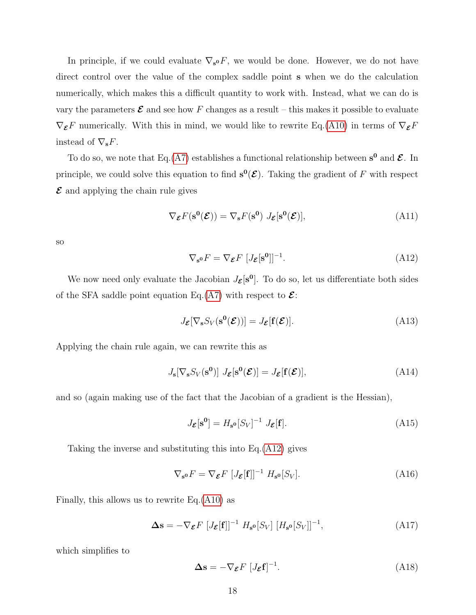In principle, if we could evaluate  $\nabla_{s} \mathbf{v} F$ , we would be done. However, we do not have direct control over the value of the complex saddle point s when we do the calculation numerically, which makes this a difficult quantity to work with. Instead, what we can do is vary the parameters  $\mathcal E$  and see how F changes as a result – this makes it possible to evaluate  $\nabla_{\mathcal{E}} F$  numerically. With this in mind, we would like to rewrite Eq.[\(A10\)](#page-16-2) in terms of  $\nabla_{\mathcal{E}} F$ instead of  $\nabla_{\mathbf{s}} F$ .

To do so, we note that Eq.[\(A7\)](#page-16-1) establishes a functional relationship between  $s^0$  and  $\mathcal{E}$ . In principle, we could solve this equation to find  $s^0(\mathcal{E})$ . Taking the gradient of F with respect  $\mathcal E$  and applying the chain rule gives

$$
\nabla_{\mathcal{E}} F(\mathbf{s}^{\mathbf{0}}(\mathcal{E})) = \nabla_{\mathbf{s}} F(\mathbf{s}^{\mathbf{0}}) J_{\mathcal{E}}[\mathbf{s}^{\mathbf{0}}(\mathcal{E})],
$$
(A11)

so

<span id="page-17-0"></span>
$$
\nabla_{\mathbf{s}^0} F = \nabla_{\mathbf{\mathcal{E}}} F \, [J_{\mathbf{\mathcal{E}}}[\mathbf{s}^0]]^{-1}.
$$
 (A12)

We now need only evaluate the Jacobian  $J_{\mathcal{E}}[\mathbf{s}^0]$ . To do so, let us differentiate both sides of the SFA saddle point equation Eq.[\(A7\)](#page-16-1) with respect to  $\mathcal{E}$ :

$$
J_{\mathcal{E}}[\nabla_{\mathbf{s}} S_V(\mathbf{s}^{\mathbf{0}}(\mathcal{E}))] = J_{\mathcal{E}}[\mathbf{f}(\mathcal{E})].
$$
\n(A13)

Applying the chain rule again, we can rewrite this as

$$
J_{\mathbf{s}}[\nabla_{\mathbf{s}} S_V(\mathbf{s}^0)] J_{\mathcal{E}}[\mathbf{s}^0(\mathcal{E})] = J_{\mathcal{E}}[\mathbf{f}(\mathcal{E})],
$$
 (A14)

and so (again making use of the fact that the Jacobian of a gradient is the Hessian),

$$
J_{\mathcal{E}}[\mathbf{s}^{\mathbf{0}}] = H_{\mathbf{s}^{\mathbf{0}}}[S_V]^{-1} J_{\mathcal{E}}[\mathbf{f}]. \tag{A15}
$$

Taking the inverse and substituting this into Eq.[\(A12\)](#page-17-0) gives

$$
\nabla_{\mathbf{s}^{\mathbf{0}}} F = \nabla_{\mathbf{\mathcal{E}}} F \left[ J_{\mathbf{\mathcal{E}}}[\mathbf{f}]]^{-1} H_{\mathbf{s}^{\mathbf{0}}}[S_V]. \right. \tag{A16}
$$

Finally, this allows us to rewrite  $Eq.(A10)$  $Eq.(A10)$  as

$$
\Delta \mathbf{s} = -\nabla_{\mathcal{E}} F \left[ J_{\mathcal{E}}[\mathbf{f}]]^{-1} H_{\mathbf{s}^0}[S_V] \left[ H_{\mathbf{s}^0}[S_V] \right]^{-1}, \tag{A17}
$$

which simplifies to

$$
\Delta \mathbf{s} = -\nabla_{\mathcal{E}} F \left[ J_{\mathcal{E}} \mathbf{f} \right]^{-1} . \tag{A18}
$$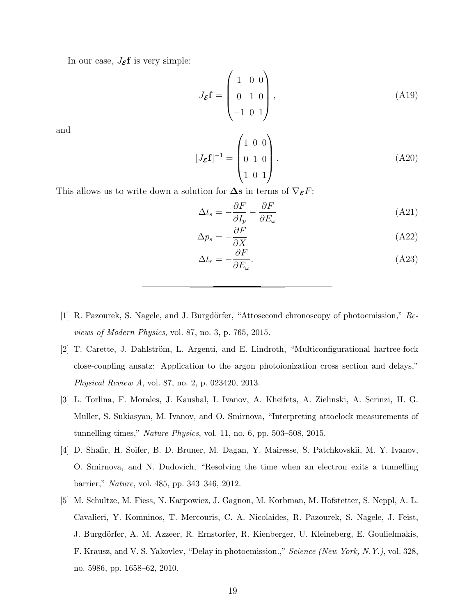In our case,  $J_{\mathcal{E}}f$  is very simple:

$$
J_{\mathcal{E}}\mathbf{f} = \begin{pmatrix} 1 & 0 & 0 \\ 0 & 1 & 0 \\ -1 & 0 & 1 \end{pmatrix},
$$
 (A19)

and

$$
[J_{\mathcal{E}}\mathbf{f}]^{-1} = \begin{pmatrix} 1 & 0 & 0 \\ 0 & 1 & 0 \\ 1 & 0 & 1 \end{pmatrix} .
$$
 (A20)

This allows us to write down a solution for  $\Delta s$  in terms of  $\nabla_{\mathcal{E}} F$ :

$$
\Delta t_s = -\frac{\partial F}{\partial I_p} - \frac{\partial F}{\partial E_\omega} \tag{A21}
$$

$$
\Delta p_s = -\frac{\partial F}{\partial X} \tag{A22}
$$

$$
\Delta t_r = -\frac{\partial F}{\partial E_\omega}.\tag{A23}
$$

- <span id="page-18-0"></span>[1] R. Pazourek, S. Nagele, and J. Burgdörfer, "Attosecond chronoscopy of photoemission," Reviews of Modern Physics, vol. 87, no. 3, p. 765, 2015.
- <span id="page-18-1"></span>[2] T. Carette, J. Dahlström, L. Argenti, and E. Lindroth, "Multiconfigurational hartree-fock close-coupling ansatz: Application to the argon photoionization cross section and delays," Physical Review A, vol. 87, no. 2, p. 023420, 2013.
- <span id="page-18-2"></span>[3] L. Torlina, F. Morales, J. Kaushal, I. Ivanov, A. Kheifets, A. Zielinski, A. Scrinzi, H. G. Muller, S. Sukiasyan, M. Ivanov, and O. Smirnova, "Interpreting attoclock measurements of tunnelling times," Nature Physics, vol. 11, no. 6, pp. 503–508, 2015.
- <span id="page-18-3"></span>[4] D. Shafir, H. Soifer, B. D. Bruner, M. Dagan, Y. Mairesse, S. Patchkovskii, M. Y. Ivanov, O. Smirnova, and N. Dudovich, "Resolving the time when an electron exits a tunnelling barrier," Nature, vol. 485, pp. 343–346, 2012.
- <span id="page-18-4"></span>[5] M. Schultze, M. Fiess, N. Karpowicz, J. Gagnon, M. Korbman, M. Hofstetter, S. Neppl, A. L. Cavalieri, Y. Komninos, T. Mercouris, C. A. Nicolaides, R. Pazourek, S. Nagele, J. Feist, J. Burgdörfer, A. M. Azzeer, R. Ernstorfer, R. Kienberger, U. Kleineberg, E. Goulielmakis, F. Krausz, and V. S. Yakovlev, "Delay in photoemission.," Science (New York, N.Y.), vol. 328, no. 5986, pp. 1658–62, 2010.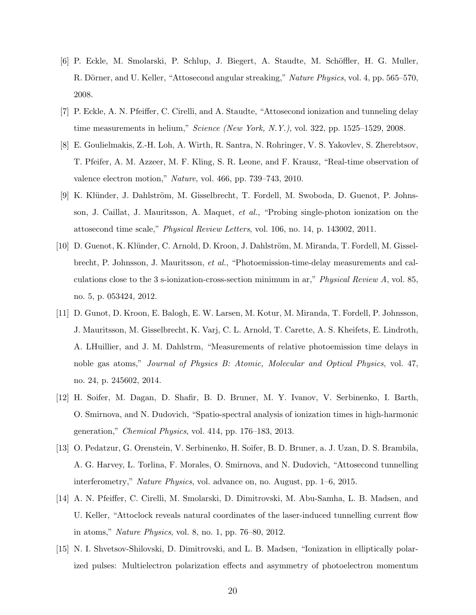- <span id="page-19-0"></span>[6] P. Eckle, M. Smolarski, P. Schlup, J. Biegert, A. Staudte, M. Sch¨offler, H. G. Muller, R. Dörner, and U. Keller, "Attosecond angular streaking," Nature Physics, vol. 4, pp. 565–570, 2008.
- <span id="page-19-1"></span>[7] P. Eckle, A. N. Pfeiffer, C. Cirelli, and A. Staudte, "Attosecond ionization and tunneling delay time measurements in helium," Science (New York, N.Y.), vol. 322, pp. 1525–1529, 2008.
- <span id="page-19-2"></span>[8] E. Goulielmakis, Z.-H. Loh, A. Wirth, R. Santra, N. Rohringer, V. S. Yakovlev, S. Zherebtsov, T. Pfeifer, A. M. Azzeer, M. F. Kling, S. R. Leone, and F. Krausz, "Real-time observation of valence electron motion," Nature, vol. 466, pp. 739–743, 2010.
- <span id="page-19-3"></span>[9] K. Klünder, J. Dahlström, M. Gisselbrecht, T. Fordell, M. Swoboda, D. Guenot, P. Johnsson, J. Caillat, J. Mauritsson, A. Maquet, et al., "Probing single-photon ionization on the attosecond time scale," Physical Review Letters, vol. 106, no. 14, p. 143002, 2011.
- <span id="page-19-7"></span>[10] D. Guenot, K. Klünder, C. Arnold, D. Kroon, J. Dahlström, M. Miranda, T. Fordell, M. Gisselbrecht, P. Johnsson, J. Mauritsson, et al., "Photoemission-time-delay measurements and calculations close to the 3 s-ionization-cross-section minimum in ar," Physical Review A, vol. 85, no. 5, p. 053424, 2012.
- <span id="page-19-4"></span>[11] D. Gunot, D. Kroon, E. Balogh, E. W. Larsen, M. Kotur, M. Miranda, T. Fordell, P. Johnsson, J. Mauritsson, M. Gisselbrecht, K. Varj, C. L. Arnold, T. Carette, A. S. Kheifets, E. Lindroth, A. LHuillier, and J. M. Dahlstrm, "Measurements of relative photoemission time delays in noble gas atoms," Journal of Physics B: Atomic, Molecular and Optical Physics, vol. 47, no. 24, p. 245602, 2014.
- <span id="page-19-5"></span>[12] H. Soifer, M. Dagan, D. Shafir, B. D. Bruner, M. Y. Ivanov, V. Serbinenko, I. Barth, O. Smirnova, and N. Dudovich, "Spatio-spectral analysis of ionization times in high-harmonic generation," Chemical Physics, vol. 414, pp. 176–183, 2013.
- <span id="page-19-6"></span>[13] O. Pedatzur, G. Orenstein, V. Serbinenko, H. Soifer, B. D. Bruner, a. J. Uzan, D. S. Brambila, A. G. Harvey, L. Torlina, F. Morales, O. Smirnova, and N. Dudovich, "Attosecond tunnelling interferometry," Nature Physics, vol. advance on, no. August, pp. 1–6, 2015.
- <span id="page-19-8"></span>[14] A. N. Pfeiffer, C. Cirelli, M. Smolarski, D. Dimitrovski, M. Abu-Samha, L. B. Madsen, and U. Keller, "Attoclock reveals natural coordinates of the laser-induced tunnelling current flow in atoms," Nature Physics, vol. 8, no. 1, pp. 76–80, 2012.
- <span id="page-19-9"></span>[15] N. I. Shvetsov-Shilovski, D. Dimitrovski, and L. B. Madsen, "Ionization in elliptically polarized pulses: Multielectron polarization effects and asymmetry of photoelectron momentum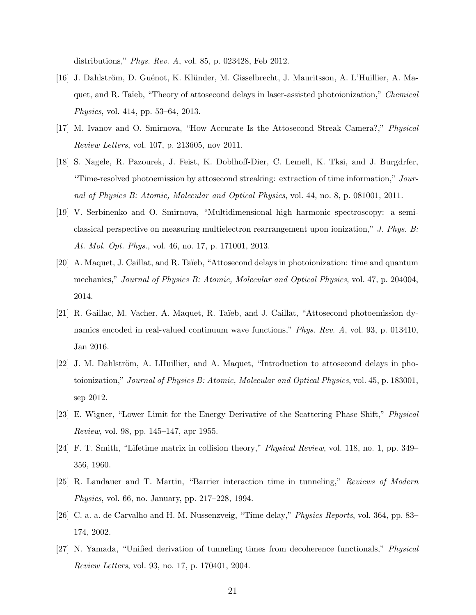distributions," Phys. Rev. A, vol. 85, p. 023428, Feb 2012.

- [16] J. Dahlström, D. Guénot, K. Klünder, M. Gisselbrecht, J. Mauritsson, A. L'Huillier, A. Maquet, and R. Taïeb, "Theory of attosecond delays in laser-assisted photoionization," Chemical Physics, vol. 414, pp. 53–64, 2013.
- <span id="page-20-6"></span>[17] M. Ivanov and O. Smirnova, "How Accurate Is the Attosecond Streak Camera?," Physical Review Letters, vol. 107, p. 213605, nov 2011.
- [18] S. Nagele, R. Pazourek, J. Feist, K. Doblhoff-Dier, C. Lemell, K. Tksi, and J. Burgdrfer, "Time-resolved photoemission by attosecond streaking: extraction of time information," Journal of Physics B: Atomic, Molecular and Optical Physics, vol. 44, no. 8, p. 081001, 2011.
- <span id="page-20-7"></span>[19] V. Serbinenko and O. Smirnova, "Multidimensional high harmonic spectroscopy: a semiclassical perspective on measuring multielectron rearrangement upon ionization," J. Phys. B: At. Mol. Opt. Phys., vol. 46, no. 17, p. 171001, 2013.
- [20] A. Maquet, J. Caillat, and R. Ta¨ıeb, "Attosecond delays in photoionization: time and quantum mechanics," Journal of Physics B: Atomic, Molecular and Optical Physics, vol. 47, p. 204004, 2014.
- <span id="page-20-0"></span>[21] R. Gaillac, M. Vacher, A. Maquet, R. Ta¨ıeb, and J. Caillat, "Attosecond photoemission dynamics encoded in real-valued continuum wave functions," Phys. Rev. A, vol. 93, p. 013410, Jan 2016.
- <span id="page-20-1"></span>[22] J. M. Dahlström, A. LHuillier, and A. Maquet, "Introduction to attosecond delays in photoionization," Journal of Physics B: Atomic, Molecular and Optical Physics, vol. 45, p. 183001, sep 2012.
- <span id="page-20-2"></span>[23] E. Wigner, "Lower Limit for the Energy Derivative of the Scattering Phase Shift," Physical Review, vol. 98, pp. 145–147, apr 1955.
- <span id="page-20-3"></span>[24] F. T. Smith, "Lifetime matrix in collision theory," Physical Review, vol. 118, no. 1, pp. 349– 356, 1960.
- <span id="page-20-4"></span>[25] R. Landauer and T. Martin, "Barrier interaction time in tunneling," Reviews of Modern Physics, vol. 66, no. January, pp. 217–228, 1994.
- [26] C. a. a. de Carvalho and H. M. Nussenzveig, "Time delay," Physics Reports, vol. 364, pp. 83– 174, 2002.
- <span id="page-20-5"></span>[27] N. Yamada, "Unified derivation of tunneling times from decoherence functionals," Physical Review Letters, vol. 93, no. 17, p. 170401, 2004.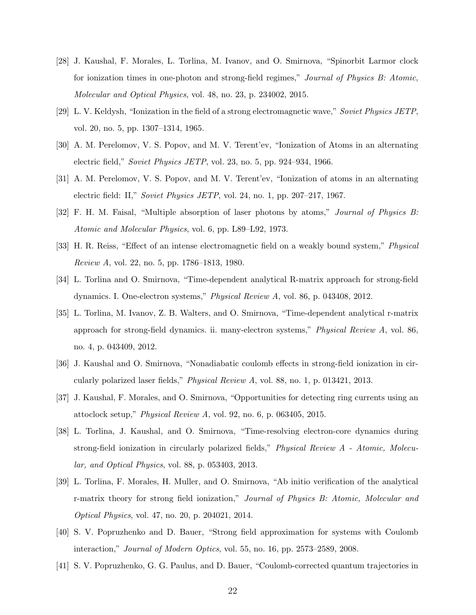- <span id="page-21-0"></span>[28] J. Kaushal, F. Morales, L. Torlina, M. Ivanov, and O. Smirnova, "Spinorbit Larmor clock for ionization times in one-photon and strong-field regimes," Journal of Physics B: Atomic, Molecular and Optical Physics, vol. 48, no. 23, p. 234002, 2015.
- <span id="page-21-1"></span>[29] L. V. Keldysh, "Ionization in the field of a strong electromagnetic wave," Soviet Physics JETP, vol. 20, no. 5, pp. 1307–1314, 1965.
- <span id="page-21-2"></span>[30] A. M. Perelomov, V. S. Popov, and M. V. Terent'ev, "Ionization of Atoms in an alternating electric field," Soviet Physics JETP, vol. 23, no. 5, pp. 924–934, 1966.
- <span id="page-21-3"></span>[31] A. M. Perelomov, V. S. Popov, and M. V. Terent'ev, "Ionization of atoms in an alternating electric field: II," Soviet Physics JETP, vol. 24, no. 1, pp. 207–217, 1967.
- <span id="page-21-4"></span>[32] F. H. M. Faisal, "Multiple absorption of laser photons by atoms," Journal of Physics B: Atomic and Molecular Physics, vol. 6, pp. L89–L92, 1973.
- <span id="page-21-5"></span>[33] H. R. Reiss, "Effect of an intense electromagnetic field on a weakly bound system," Physical Review A, vol. 22, no. 5, pp. 1786–1813, 1980.
- <span id="page-21-6"></span>[34] L. Torlina and O. Smirnova, "Time-dependent analytical R-matrix approach for strong-field dynamics. I. One-electron systems," Physical Review A, vol. 86, p. 043408, 2012.
- [35] L. Torlina, M. Ivanov, Z. B. Walters, and O. Smirnova, "Time-dependent analytical r-matrix approach for strong-field dynamics. ii. many-electron systems," Physical Review A, vol. 86, no. 4, p. 043409, 2012.
- <span id="page-21-12"></span>[36] J. Kaushal and O. Smirnova, "Nonadiabatic coulomb effects in strong-field ionization in circularly polarized laser fields," Physical Review A, vol. 88, no. 1, p. 013421, 2013.
- <span id="page-21-10"></span>[37] J. Kaushal, F. Morales, and O. Smirnova, "Opportunities for detecting ring currents using an attoclock setup," Physical Review A, vol. 92, no. 6, p. 063405, 2015.
- <span id="page-21-11"></span>[38] L. Torlina, J. Kaushal, and O. Smirnova, "Time-resolving electron-core dynamics during strong-field ionization in circularly polarized fields," Physical Review A - Atomic, Molecular, and Optical Physics, vol. 88, p. 053403, 2013.
- <span id="page-21-7"></span>[39] L. Torlina, F. Morales, H. Muller, and O. Smirnova, "Ab initio verification of the analytical r-matrix theory for strong field ionization," Journal of Physics B: Atomic, Molecular and Optical Physics, vol. 47, no. 20, p. 204021, 2014.
- <span id="page-21-8"></span>[40] S. V. Popruzhenko and D. Bauer, "Strong field approximation for systems with Coulomb interaction," Journal of Modern Optics, vol. 55, no. 16, pp. 2573–2589, 2008.
- <span id="page-21-9"></span>[41] S. V. Popruzhenko, G. G. Paulus, and D. Bauer, "Coulomb-corrected quantum trajectories in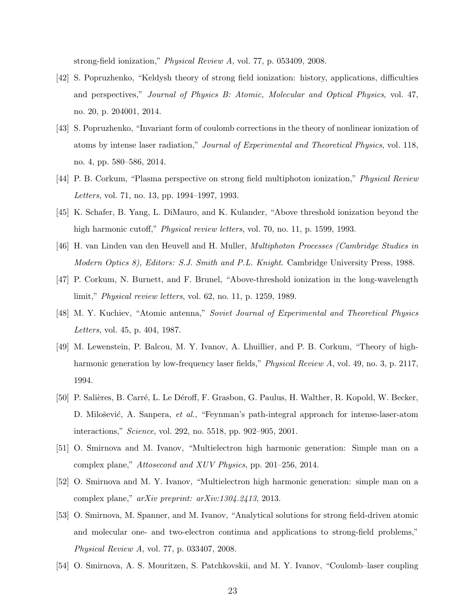strong-field ionization," Physical Review A, vol. 77, p. 053409, 2008.

- <span id="page-22-0"></span>[42] S. Popruzhenko, "Keldysh theory of strong field ionization: history, applications, difficulties and perspectives," Journal of Physics B: Atomic, Molecular and Optical Physics, vol. 47, no. 20, p. 204001, 2014.
- <span id="page-22-1"></span>[43] S. Popruzhenko, "Invariant form of coulomb corrections in the theory of nonlinear ionization of atoms by intense laser radiation," Journal of Experimental and Theoretical Physics, vol. 118, no. 4, pp. 580–586, 2014.
- <span id="page-22-2"></span>[44] P. B. Corkum, "Plasma perspective on strong field multiphoton ionization," Physical Review Letters, vol. 71, no. 13, pp. 1994–1997, 1993.
- <span id="page-22-3"></span>[45] K. Schafer, B. Yang, L. DiMauro, and K. Kulander, "Above threshold ionization beyond the high harmonic cutoff," *Physical review letters*, vol. 70, no. 11, p. 1599, 1993.
- [46] H. van Linden van den Heuvell and H. Muller, Multiphoton Processes (Cambridge Studies in Modern Optics 8), Editors: S.J. Smith and P.L. Knight. Cambridge University Press, 1988.
- [47] P. Corkum, N. Burnett, and F. Brunel, "Above-threshold ionization in the long-wavelength limit," Physical review letters, vol. 62, no. 11, p. 1259, 1989.
- <span id="page-22-4"></span>[48] M. Y. Kuchiev, "Atomic antenna," Soviet Journal of Experimental and Theoretical Physics Letters, vol. 45, p. 404, 1987.
- <span id="page-22-5"></span>[49] M. Lewenstein, P. Balcou, M. Y. Ivanov, A. Lhuillier, and P. B. Corkum, "Theory of highharmonic generation by low-frequency laser fields," *Physical Review A*, vol. 49, no. 3, p. 2117, 1994.
- <span id="page-22-6"></span>[50] P. Salières, B. Carré, L. Le Déroff, F. Grasbon, G. Paulus, H. Walther, R. Kopold, W. Becker, D. Milošević, A. Sanpera, et al., "Feynman's path-integral approach for intense-laser-atom interactions," Science, vol. 292, no. 5518, pp. 902–905, 2001.
- <span id="page-22-7"></span>[51] O. Smirnova and M. Ivanov, "Multielectron high harmonic generation: Simple man on a complex plane," Attosecond and XUV Physics, pp. 201–256, 2014.
- <span id="page-22-8"></span>[52] O. Smirnova and M. Y. Ivanov, "Multielectron high harmonic generation: simple man on a complex plane," arXiv preprint: arXiv:1304.2413, 2013.
- <span id="page-22-9"></span>[53] O. Smirnova, M. Spanner, and M. Ivanov, "Analytical solutions for strong field-driven atomic and molecular one- and two-electron continua and applications to strong-field problems," Physical Review A, vol. 77, p. 033407, 2008.
- <span id="page-22-10"></span>[54] O. Smirnova, A. S. Mouritzen, S. Patchkovskii, and M. Y. Ivanov, "Coulomb–laser coupling